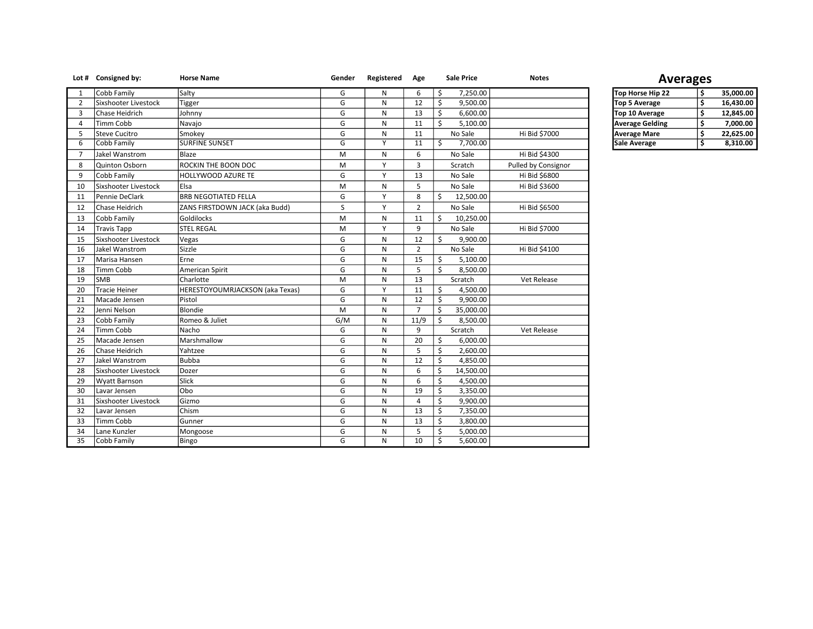|                | Lot # Consigned by:  | <b>Horse Name</b>               | Gender                  | Registered   | Age            |    | <b>Sale Price</b> | <b>Notes</b>        |                        | <b>Averages</b> |           |
|----------------|----------------------|---------------------------------|-------------------------|--------------|----------------|----|-------------------|---------------------|------------------------|-----------------|-----------|
| 1              | Cobb Family          | Salty                           | G                       | N            | 6              | \$ | 7,250.00          |                     | Top Horse Hip 22       | \$              | 35,000.00 |
| $\overline{2}$ | Sixshooter Livestock | Tigger                          | G                       | ${\sf N}$    | 12             | \$ | 9,500.00          |                     | Top 5 Average          | \$              | 16,430.00 |
| 3              | Chase Heidrich       | Johnny                          | G                       | ${\sf N}$    | 13             | \$ | 6,600.00          |                     | Top 10 Average         | \$              | 12,845.00 |
| 4              | Timm Cobb            | Navajo                          | G                       | N            | 11             | Ś  | 5,100.00          |                     | <b>Average Gelding</b> | \$              | 7,000.00  |
| 5              | Steve Cucitro        | Smokey                          | G                       | $\mathsf{N}$ | 11             |    | No Sale           | Hi Bid \$7000       | <b>Average Mare</b>    | \$              | 22,625.00 |
| 6              | Cobb Family          | <b>SURFINE SUNSET</b>           | $\overline{\mathsf{G}}$ | Y            | 11             | Ś  | 7,700.00          |                     | <b>Sale Average</b>    | \$              | 8,310.00  |
| $\overline{7}$ | Jakel Wanstrom       | Blaze                           | M                       | ${\sf N}$    | 6              |    | No Sale           | Hi Bid \$4300       |                        |                 |           |
| 8              | Quinton Osborn       | ROCKIN THE BOON DOC             | M                       | Y            | 3              |    | Scratch           | Pulled by Consignor |                        |                 |           |
| 9              | Cobb Family          | HOLLYWOOD AZURE TE              | G                       | Y            | 13             |    | No Sale           | Hi Bid \$6800       |                        |                 |           |
| 10             | Sixshooter Livestock | <b>E</b> lsa                    | M                       | N            | 5              |    | No Sale           | Hi Bid \$3600       |                        |                 |           |
| 11             | Pennie DeClark       | <b>BRB NEGOTIATED FELLA</b>     | G                       | Y            | 8              | Ś. | 12,500.00         |                     |                        |                 |           |
| 12             | Chase Heidrich       | ZANS FIRSTDOWN JACK (aka Budd)  | S                       | Y            | $\overline{2}$ |    | No Sale           | Hi Bid \$6500       |                        |                 |           |
| 13             | Cobb Family          | Goldilocks                      | M                       | ${\sf N}$    | 11             | Ś. | 10,250.00         |                     |                        |                 |           |
| 14             | <b>Travis Tapp</b>   | <b>STEL REGAL</b>               | M                       | Y            | 9              |    | No Sale           | Hi Bid \$7000       |                        |                 |           |
| 15             | Sixshooter Livestock | Vegas                           | G                       | N            | 12             | Ś. | 9,900.00          |                     |                        |                 |           |
| 16             | Jakel Wanstrom       | Sizzle                          | G                       | ${\sf N}$    | $\overline{2}$ |    | No Sale           | Hi Bid \$4100       |                        |                 |           |
| 17             | Marisa Hansen        | Erne                            | G                       | N            | 15             | Ś  | 5.100.00          |                     |                        |                 |           |
| 18             | Timm Cobb            | American Spirit                 | G                       | ${\sf N}$    | 5              | Ś  | 8,500.00          |                     |                        |                 |           |
| 19             | <b>SMB</b>           | Charlotte                       | M                       | ${\sf N}$    | 13             |    | Scratch           | Vet Release         |                        |                 |           |
| 20             | Tracie Heiner        | HERESTOYOUMRJACKSON (aka Texas) | G                       | Y            | 11             | Ś  | 4,500.00          |                     |                        |                 |           |
| 21             | Macade Jensen        | Pistol                          | G                       | N            | 12             | Ś  | 9,900.00          |                     |                        |                 |           |
| 22             | Jenni Nelson         | Blondie                         | M                       | N            | $\overline{7}$ | Ś  | 35,000.00         |                     |                        |                 |           |
| 23             | Cobb Family          | Romeo & Juliet                  | G/M                     | ${\sf N}$    | 11/9           | Ś  | 8,500.00          |                     |                        |                 |           |
| 24             | Timm Cobb            | Nacho                           | G                       | $\mathsf{N}$ | 9              |    | Scratch           | Vet Release         |                        |                 |           |
| 25             | Macade Jensen        | Marshmallow                     | Ġ                       | ${\sf N}$    | 20             | Ś  | 6,000.00          |                     |                        |                 |           |
| 26             | Chase Heidrich       | Yahtzee                         | G                       | ${\sf N}$    | 5              | Ś  | 2,600.00          |                     |                        |                 |           |
| 27             | Jakel Wanstrom       | <b>Bubba</b>                    | G                       | ${\sf N}$    | 12             | Ś  | 4,850.00          |                     |                        |                 |           |
| 28             | Sixshooter Livestock | Dozer                           | G                       | N            | 6              | Ś  | 14,500.00         |                     |                        |                 |           |
| 29             | Wyatt Barnson        | Slick                           | G                       | N            | 6              | Ś. | 4,500.00          |                     |                        |                 |           |
| 30             | Lavar Jensen         | Obo                             | Ġ                       | $\mathsf{N}$ | 19             | Ś  | 3,350.00          |                     |                        |                 |           |
| 31             | Sixshooter Livestock | Gizmo                           | G                       | N            | $\overline{4}$ | Ś  | 9,900.00          |                     |                        |                 |           |
| 32             | Lavar Jensen         | Chism                           | $\overline{G}$          | N            | 13             | \$ | 7,350.00          |                     |                        |                 |           |
| 33             | Timm Cobb            | Gunner                          | G                       | ${\sf N}$    | 13             | \$ | 3,800.00          |                     |                        |                 |           |
| 34             | Lane Kunzler         | Mongoose                        | Ġ                       | $\mathsf{N}$ | 5              | Ś  | 5,000.00          |                     |                        |                 |           |
| 35             | Cobb Family          | Bingo                           | G                       | N            | 10             | \$ | 5,600.00          |                     |                        |                 |           |

## Averages

| Top Horse Hip 22       | Ś  | 35,000.00 |
|------------------------|----|-----------|
| <b>Top 5 Average</b>   | Ś  | 16,430.00 |
| Top 10 Average         | Ś  | 12,845.00 |
| <b>Average Gelding</b> | \$ | 7,000.00  |
| <b>Average Mare</b>    | Ś  | 22,625.00 |
| Sale Average           | Ś  | 8,310.00  |